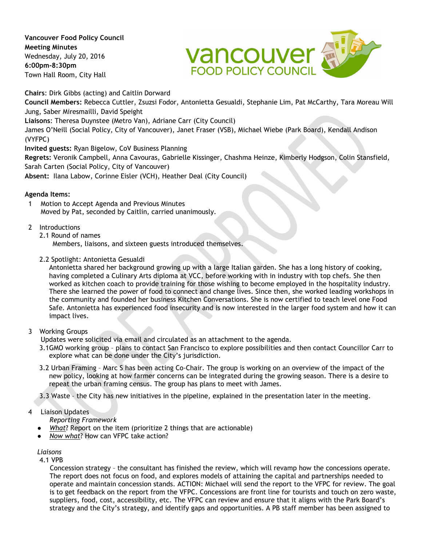**Vancouver Food Policy Council Meeting Minutes** Wednesday, July 20, 2016 **6:00pm-8:30pm** Town Hall Room, City Hall



**Chairs**: Dirk Gibbs (acting) and Caitlin Dorward **Council Members:** Rebecca Cuttler, Zsuzsi Fodor, Antonietta Gesualdi, Stephanie Lim, Pat McCarthy, Tara Moreau Will Jung, Saber Miresmailli, David Speight **Liaisons**: Theresa Duynstee (Metro Van), Adriane Carr (City Council) James O'Neill (Social Policy, City of Vancouver), Janet Fraser (VSB), Michael Wiebe (Park Board), Kendall Andison (VYFPC)

**Invited guests:** Ryan Bigelow, CoV Business Planning

**Regrets:** Veronik Campbell, Anna Cavouras, Gabrielle Kissinger, Chashma Heinze, Kimberly Hodgson, Colin Stansfield, Sarah Carten (Social Policy, City of Vancouver)

**Absent:** Ilana Labow, Corinne Eisler (VCH), Heather Deal (City Council)

## **Agenda Items:**

1 Motion to Accept Agenda and Previous Minutes Moved by Pat, seconded by Caitlin, carried unanimously.

# 2 Introductions

2.1 Round of names

Members, liaisons, and sixteen guests introduced themselves.

2.2 Spotlight: Antonietta Gesualdi

Antonietta shared her background growing up with a large Italian garden. She has a long history of cooking, having completed a Culinary Arts diploma at VCC, before working with in industry with top chefs. She then worked as kitchen coach to provide training for those wishing to become employed in the hospitality industry. There she learned the power of food to connect and change lives. Since then, she worked leading workshops in the community and founded her business Kitchen Conversations. She is now certified to teach level one Food Safe. Antonietta has experienced food insecurity and is now interested in the larger food system and how it can impact lives.

## 3 Working Groups

Updates were solicited via email and circulated as an attachment to the agenda.

3.1GMO working group – plans to contact San Francisco to explore possibilities and then contact Councillor Carr to explore what can be done under the City's jurisdiction.

3.2 Urban Framing – Marc S has been acting Co-Chair. The group is working on an overview of the impact of the new policy, looking at how farmer concerns can be integrated during the growing season. There is a desire to repeat the urban framing census. The group has plans to meet with James.

3.3 Waste – the City has new initiatives in the pipeline, explained in the presentation later in the meeting.

# 4 Liaison Updates

- *Reporting Framework*
- *What*? Report on the item (prioritize 2 things that are actionable)
- *Now what*? How can VFPC take action?

## *Liaisons*

4.1 VPB

Concession strategy – the consultant has finished the review, which will revamp how the concessions operate. The report does not focus on food, and explores models of attaining the capital and partnerships needed to operate and maintain concession stands. ACTION: Michael will send the report to the VFPC for review. The goal is to get feedback on the report from the VFPC. Concessions are front line for tourists and touch on zero waste, suppliers, food, cost, accessibility, etc. The VFPC can review and ensure that it aligns with the Park Board's strategy and the City's strategy, and identify gaps and opportunities. A PB staff member has been assigned to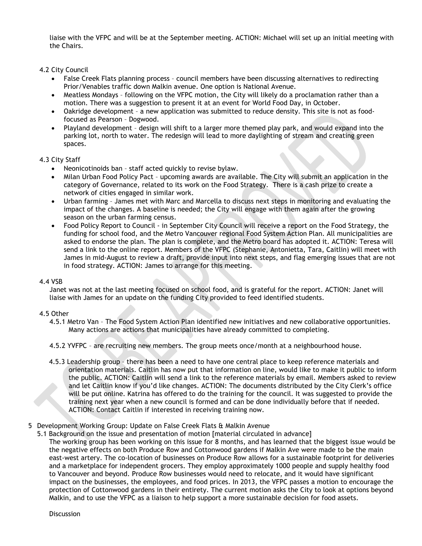liaise with the VFPC and will be at the September meeting. ACTION: Michael will set up an initial meeting with the Chairs.

4.2 City Council

- False Creek Flats planning process council members have been discussing alternatives to redirecting Prior/Venables traffic down Malkin avenue. One option is National Avenue.
- Meatless Mondays following on the VFPC motion, the City will likely do a proclamation rather than a motion. There was a suggestion to present it at an event for World Food Day, in October.
- Oakridge development a new application was submitted to reduce density. This site is not as foodfocused as Pearson – Dogwood.
- Playland development design will shift to a larger more themed play park, and would expand into the parking lot, north to water. The redesign will lead to more daylighting of stream and creating green spaces.

## 4.3 City Staff

- Neonicotinoids ban staff acted quickly to revise bylaw.
- Milan Urban Food Policy Pact upcoming awards are available. The City will submit an application in the category of Governance, related to its work on the Food Strategy. There is a cash prize to create a network of cities engaged in similar work.
- Urban farming James met with Marc and Marcella to discuss next steps in monitoring and evaluating the impact of the changes. A baseline is needed; the City will engage with them again after the growing season on the urban farming census.
- Food Policy Report to Council in September City Council will receive a report on the Food Strategy, the funding for school food, and the Metro Vancouver regional Food System Action Plan. All municipalities are asked to endorse the plan. The plan is complete, and the Metro board has adopted it. ACTION: Teresa will send a link to the online report. Members of the VFPC (Stephanie, Antonietta, Tara, Caitlin) will meet with James in mid-August to review a draft, provide input into next steps, and flag emerging issues that are not in food strategy. ACTION: James to arrange for this meeting.

#### 4.4 VSB

Janet was not at the last meeting focused on school food, and is grateful for the report. ACTION: Janet will liaise with James for an update on the funding City provided to feed identified students.

#### 4.5 Other

- 4.5.1 Metro Van The Food System Action Plan identified new initiatives and new collaborative opportunities. Many actions are actions that municipalities have already committed to completing.
- 4.5.2 YVFPC are recruiting new members. The group meets once/month at a neighbourhood house.
- 4.5.3 Leadership group there has been a need to have one central place to keep reference materials and orientation materials. Caitlin has now put that information on line, would like to make it public to inform the public. ACTION: Caitlin will send a link to the reference materials by email. Members asked to review and let Caitlin know if you'd like changes. ACTION: The documents distributed by the City Clerk's office will be put online. Katrina has offered to do the training for the council. It was suggested to provide the training next year when a new council is formed and can be done individually before that if needed. ACTION: Contact Caitlin if interested in receiving training now.
- 5 Development Working Group: Update on False Creek Flats & Malkin Avenue
	- 5.1 Background on the issue and presentation of motion [material circulated in advance] The working group has been working on this issue for 8 months, and has learned that the biggest issue would be the negative effects on both Produce Row and Cottonwood gardens if Malkin Ave were made to be the main east-west artery. The co-location of businesses on Produce Row allows for a sustainable footprint for deliveries and a marketplace for independent grocers. They employ approximately 1000 people and supply healthy food to Vancouver and beyond. Produce Row businesses would need to relocate, and it would have significant impact on the businesses, the employees, and food prices. In 2013, the VFPC passes a motion to encourage the protection of Cottonwood gardens in their entirety. The current motion asks the City to look at options beyond Malkin, and to use the VFPC as a liaison to help support a more sustainable decision for food assets.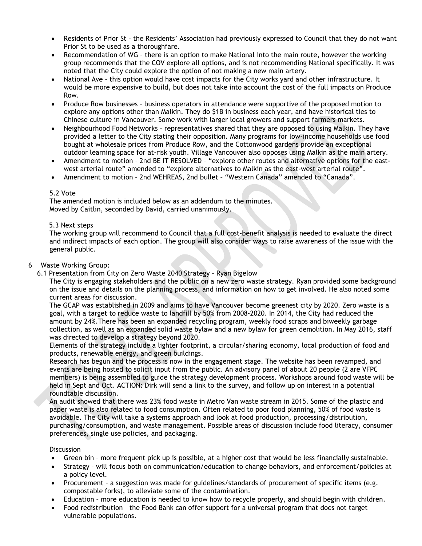- Residents of Prior St the Residents' Association had previously expressed to Council that they do not want Prior St to be used as a thoroughfare.
- Recommendation of WG there is an option to make National into the main route, however the working group recommends that the COV explore all options, and is not recommending National specifically. It was noted that the City could explore the option of not making a new main artery.
- National Ave this option would have cost impacts for the City works yard and other infrastructure. It would be more expensive to build, but does not take into account the cost of the full impacts on Produce Row.
- Produce Row businesses business operators in attendance were supportive of the proposed motion to explore any options other than Malkin. They do \$1B in business each year, and have historical ties to Chinese culture in Vancouver. Some work with larger local growers and support farmers markets.
- Neighbourhood Food Networks representatives shared that they are opposed to using Malkin. They have provided a letter to the City stating their opposition. Many programs for low-income households use food bought at wholesale prices from Produce Row, and the Cottonwood gardens provide an exceptional outdoor learning space for at-risk youth. Village Vancouver also opposes using Malkin as the main artery.
- Amendment to motion 2nd BE IT RESOLVED "explore other routes and alternative options for the eastwest arterial route" amended to "explore alternatives to Malkin as the east-west arterial route".
- Amendment to motion 2nd WEHREAS, 2nd bullet "Western Canada" amended to "Canada".

## 5.2 Vote

The amended motion is included below as an addendum to the minutes. Moved by Caitlin, seconded by David, carried unanimously.

## 5.3 Next steps

The working group will recommend to Council that a full cost-benefit analysis is needed to evaluate the direct and indirect impacts of each option. The group will also consider ways to raise awareness of the issue with the general public.

## 6 Waste Working Group:

6.1 Presentation from City on Zero Waste 2040 Strategy – Ryan Bigelow

The City is engaging stakeholders and the public on a new zero waste strategy. Ryan provided some background on the issue and details on the planning process, and information on how to get involved. He also noted some current areas for discussion.

The GCAP was established in 2009 and aims to have Vancouver become greenest city by 2020. Zero waste is a goal, with a target to reduce waste to landfill by 50% from 2008-2020. In 2014, the City had reduced the amount by 24%.There has been an expanded recycling program, weekly food scraps and biweekly garbage collection, as well as an expanded solid waste bylaw and a new bylaw for green demolition. In May 2016, staff was directed to develop a strategy beyond 2020.

Elements of the strategy include a lighter footprint, a circular/sharing economy, local production of food and products, renewable energy, and green buildings.

Research has begun and the process is now in the engagement stage. The website has been revamped, and events are being hosted to solicit input from the public. An advisory panel of about 20 people (2 are VFPC members) is being assembled to guide the strategy development process. Workshops around food waste will be held in Sept and Oct. ACTION: Dirk will send a link to the survey, and follow up on interest in a potential roundtable discussion.

An audit showed that there was 23% food waste in Metro Van waste stream in 2015. Some of the plastic and paper waste is also related to food consumption. Often related to poor food planning, 50% of food waste is avoidable. The City will take a systems approach and look at food production, processing/distribution, purchasing/consumption, and waste management. Possible areas of discussion include food literacy, consumer preferences, single use policies, and packaging.

#### **Discussion**

- Green bin more frequent pick up is possible, at a higher cost that would be less financially sustainable.
- Strategy will focus both on communication/education to change behaviors, and enforcement/policies at a policy level.
- Procurement a suggestion was made for guidelines/standards of procurement of specific items (e.g. compostable forks), to alleviate some of the contamination.
- Education more education is needed to know how to recycle properly, and should begin with children.
- Food redistribution the Food Bank can offer support for a universal program that does not target vulnerable populations.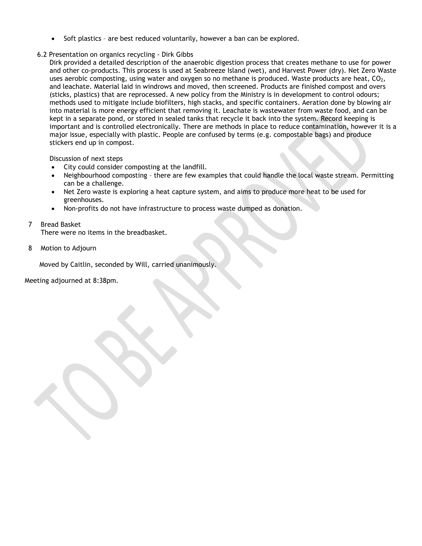• Soft plastics - are best reduced voluntarily, however a ban can be explored.

## 6.2 Presentation on organics recycling - Dirk Gibbs

Dirk provided a detailed description of the anaerobic digestion process that creates methane to use for power and other co-products. This process is used at Seabreeze Island (wet), and Harvest Power (dry). Net Zero Waste uses aerobic composting, using water and oxygen so no methane is produced. Waste products are heat,  $CO<sub>2</sub>$ , and leachate. Material laid in windrows and moved, then screened. Products are finished compost and overs (sticks, plastics) that are reprocessed. A new policy from the Ministry is in development to control odours; methods used to mitigate include biofilters, high stacks, and specific containers. Aeration done by blowing air into material is more energy efficient that removing it. Leachate is wastewater from waste food, and can be kept in a separate pond, or stored in sealed tanks that recycle it back into the system. Record keeping is important and is controlled electronically. There are methods in place to reduce contamination, however it is a major issue, especially with plastic. People are confused by terms (e.g. compostable bags) and produce stickers end up in compost.

Discussion of next steps

- City could consider composting at the landfill.
- Neighbourhood composting there are few examples that could handle the local waste stream. Permitting can be a challenge.
- Net Zero waste is exploring a heat capture system, and aims to produce more heat to be used for greenhouses.
- Non-profits do not have infrastructure to process waste dumped as donation.

# 7 Bread Basket

There were no items in the breadbasket.

8 Motion to Adjourn

Moved by Caitlin, seconded by Will, carried unanimously.

Meeting adjourned at 8:38pm.